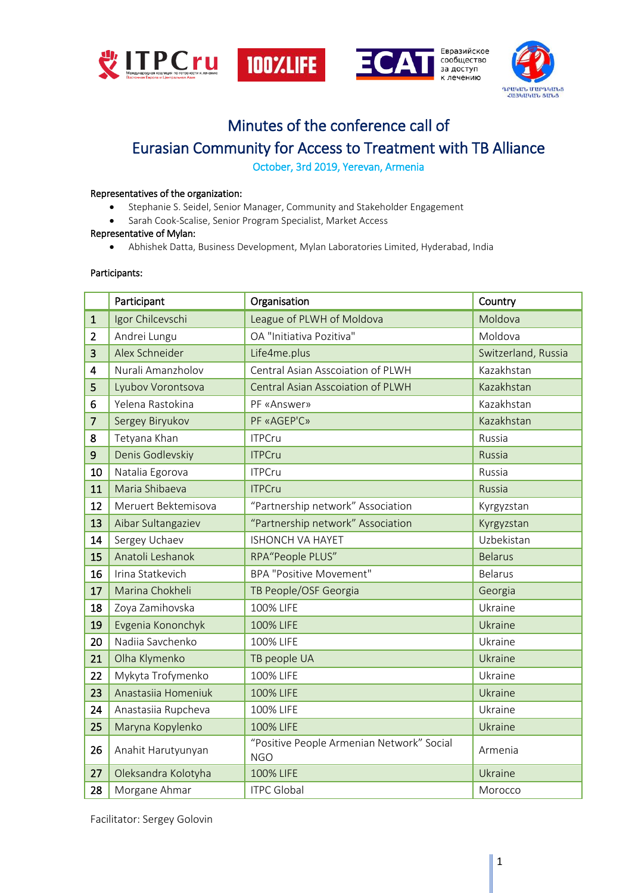



Евразийское сообщество за доступ к лечению



# Minutes of the conference call of Eurasian Community for Access to Treatment with TB Alliance

October, 3rd 2019, Yerevan, Armenia

## Representatives of the organization:

- Stephanie S. Seidel, Senior Manager, Community and Stakeholder Engagement
- Sarah Cook-Scalise, Senior Program Specialist, Market Access

#### Representative of Mylan:

Abhishek Datta, Business Development, Mylan Laboratories Limited, Hyderabad, India

## Participants:

|                | Participant         | Organisation                                            | Country             |
|----------------|---------------------|---------------------------------------------------------|---------------------|
| $\mathbf{1}$   | Igor Chilcevschi    | League of PLWH of Moldova                               | Moldova             |
| $\overline{2}$ | Andrei Lungu        | OA "Initiativa Pozitiva"                                | Moldova             |
| 3              | Alex Schneider      | Life4me.plus                                            | Switzerland, Russia |
| 4              | Nurali Amanzholov   | Central Asian Asscoiation of PLWH                       | Kazakhstan          |
| 5              | Lyubov Vorontsova   | Central Asian Asscoiation of PLWH                       | Kazakhstan          |
| 6              | Yelena Rastokina    | PF «Answer»                                             | Kazakhstan          |
| $\overline{7}$ | Sergey Biryukov     | PF «AGEP'C»                                             | Kazakhstan          |
| 8              | Tetyana Khan        | <b>ITPCru</b>                                           | Russia              |
| $\mathsf 9$    | Denis Godlevskiy    | <b>ITPCru</b>                                           | Russia              |
| 10             | Natalia Egorova     | <b>ITPCru</b>                                           | Russia              |
| 11             | Maria Shibaeva      | <b>ITPCru</b>                                           | Russia              |
| 12             | Meruert Bektemisova | "Partnership network" Association                       | Kyrgyzstan          |
| 13             | Aibar Sultangaziev  | "Partnership network" Association                       | Kyrgyzstan          |
| 14             | Sergey Uchaev       | <b>ISHONCH VA HAYET</b>                                 | Uzbekistan          |
| 15             | Anatoli Leshanok    | RPA"People PLUS"                                        | <b>Belarus</b>      |
| 16             | Irina Statkevich    | <b>BPA "Positive Movement"</b>                          | <b>Belarus</b>      |
| 17             | Marina Chokheli     | TB People/OSF Georgia                                   | Georgia             |
| 18             | Zoya Zamihovska     | 100% LIFE                                               | Ukraine             |
| 19             | Evgenia Kononchyk   | 100% LIFE                                               | Ukraine             |
| 20             | Nadija Savchenko    | 100% LIFE                                               | Ukraine             |
| 21             | Olha Klymenko       | TB people UA                                            | Ukraine             |
| 22             | Mykyta Trofymenko   | 100% LIFE                                               | Ukraine             |
| 23             | Anastasiia Homeniuk | 100% LIFE                                               | Ukraine             |
| 24             | Anastasiia Rupcheva | 100% LIFE                                               | Ukraine             |
| 25             | Maryna Kopylenko    | 100% LIFE                                               | Ukraine             |
| 26             | Anahit Harutyunyan  | "Positive People Armenian Network" Social<br><b>NGO</b> | Armenia             |
| 27             | Oleksandra Kolotyha | 100% LIFE                                               | Ukraine             |
| 28             | Morgane Ahmar       | <b>ITPC Global</b>                                      | Morocco             |

Facilitator: Sergey Golovin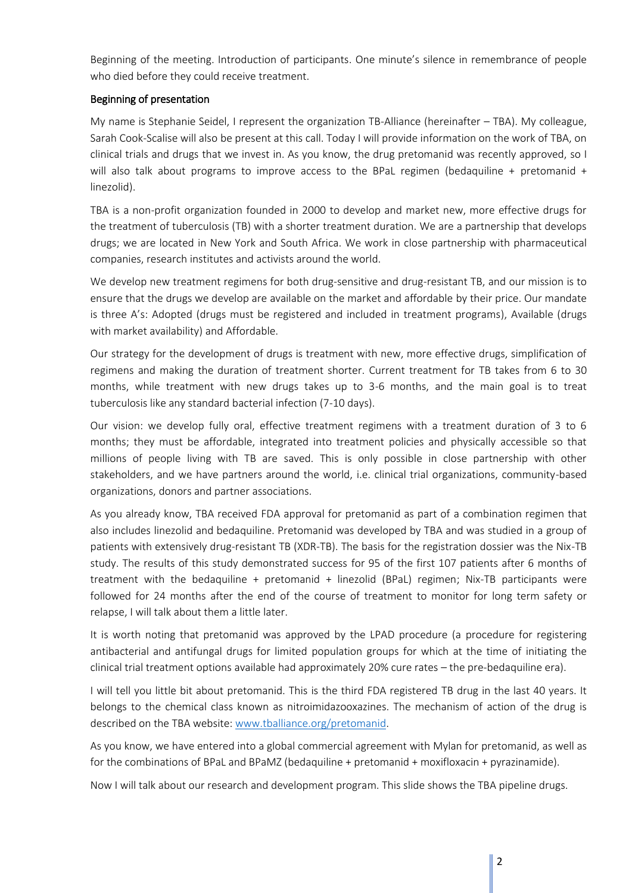Beginning of the meeting. Introduction of participants. One minute's silence in remembrance of people who died before they could receive treatment.

# Beginning of presentation

My name is Stephanie Seidel, I represent the organization TB-Alliance (hereinafter – TBA). My colleague, Sarah Cook-Scalise will also be present at this call. Today I will provide information on the work of TBA, on clinical trials and drugs that we invest in. As you know, the drug pretomanid was recently approved, so I will also talk about programs to improve access to the BPaL regimen (bedaquiline + pretomanid + linezolid).

TBA is a non-profit organization founded in 2000 to develop and market new, more effective drugs for the treatment of tuberculosis (TB) with a shorter treatment duration. We are a partnership that develops drugs; we are located in New York and South Africa. We work in close partnership with pharmaceutical companies, research institutes and activists around the world.

We develop new treatment regimens for both drug-sensitive and drug-resistant TB, and our mission is to ensure that the drugs we develop are available on the market and affordable by their price. Our mandate is three A's: Adopted (drugs must be registered and included in treatment programs), Available (drugs with market availability) and Affordable.

Our strategy for the development of drugs is treatment with new, more effective drugs, simplification of regimens and making the duration of treatment shorter. Current treatment for TB takes from 6 to 30 months, while treatment with new drugs takes up to 3-6 months, and the main goal is to treat tuberculosis like any standard bacterial infection (7-10 days).

Our vision: we develop fully oral, effective treatment regimens with a treatment duration of 3 to 6 months; they must be affordable, integrated into treatment policies and physically accessible so that millions of people living with TB are saved. This is only possible in close partnership with other stakeholders, and we have partners around the world, i.e. clinical trial organizations, community-based organizations, donors and partner associations.

As you already know, TBA received FDA approval for pretomanid as part of a combination regimen that also includes linezolid and bedaquiline. Pretomanid was developed by TBA and was studied in a group of patients with extensively drug-resistant TB (XDR-TB). The basis for the registration dossier was the Nix-TB study. The results of this study demonstrated success for 95 of the first 107 patients after 6 months of treatment with the bedaquiline + pretomanid + linezolid (BPaL) regimen; Nix-TB participants were followed for 24 months after the end of the course of treatment to monitor for long term safety or relapse, I will talk about them a little later.

It is worth noting that pretomanid was approved by the LPAD procedure (a procedure for registering antibacterial and antifungal drugs for limited population groups for which at the time of initiating the clinical trial treatment options available had approximately 20% cure rates – the pre-bedaquiline era).

I will tell you little bit about pretomanid. This is the third FDA registered TB drug in the last 40 years. It belongs to the chemical class known as nitroimidazooxazines. The mechanism of action of the drug is described on the TBA website[: www.tballiance.org/pretomanid.](http://www.tballiance.org/pretomanid)

As you know, we have entered into a global commercial agreement with Mylan for pretomanid, as well as for the combinations of BPaL and BPaMZ (bedaquiline + pretomanid + moxifloxacin + pyrazinamide).

Now I will talk about our research and development program. This slide shows the TBA pipeline drugs.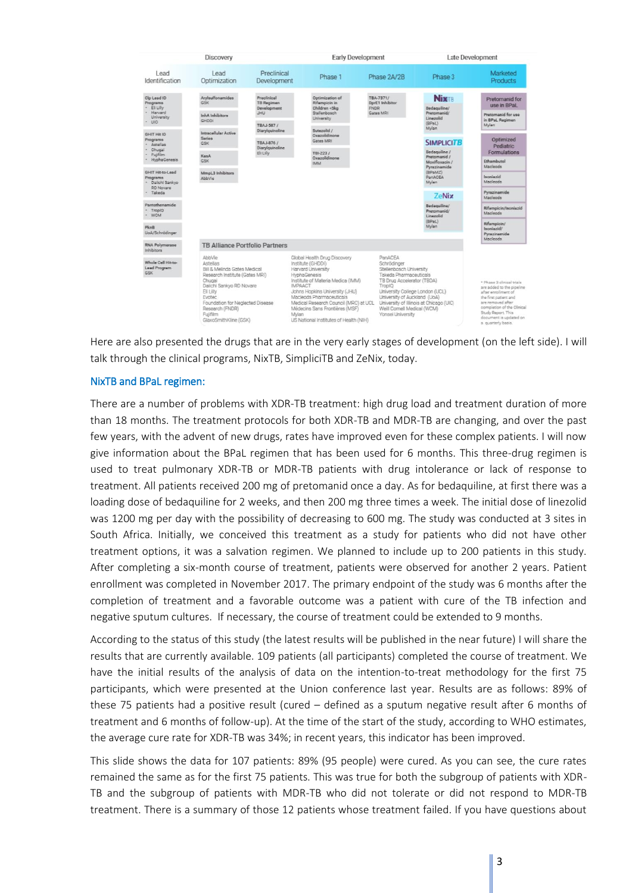

Here are also presented the drugs that are in the very early stages of development (on the left side). I will talk through the clinical programs, NixTB, SimpliciTB and ZeNix, today.

#### NixTB and BPaL regimen:

There are a number of problems with XDR-TB treatment: high drug load and treatment duration of more than 18 months. The treatment protocols for both XDR-TB and MDR-TB are changing, and over the past few years, with the advent of new drugs, rates have improved even for these complex patients. I will now give information about the BPaL regimen that has been used for 6 months. This three-drug regimen is used to treat pulmonary XDR-TB or MDR-TB patients with drug intolerance or lack of response to treatment. All patients received 200 mg of pretomanid once a day. As for bedaquiline, at first there was a loading dose of bedaquiline for 2 weeks, and then 200 mg three times a week. The initial dose of linezolid was 1200 mg per day with the possibility of decreasing to 600 mg. The study was conducted at 3 sites in South Africa. Initially, we conceived this treatment as a study for patients who did not have other treatment options, it was a salvation regimen. We planned to include up to 200 patients in this study. After completing a six-month course of treatment, patients were observed for another 2 years. Patient enrollment was completed in November 2017. The primary endpoint of the study was 6 months after the completion of treatment and a favorable outcome was a patient with cure of the TB infection and negative sputum cultures. If necessary, the course of treatment could be extended to 9 months.

According to the status of this study (the latest results will be published in the near future) I will share the results that are currently available. 109 patients (all participants) completed the course of treatment. We have the initial results of the analysis of data on the intention-to-treat methodology for the first 75 participants, which were presented at the Union conference last year. Results are as follows: 89% of these 75 patients had a positive result (cured – defined as a sputum negative result after 6 months of treatment and 6 months of follow-up). At the time of the start of the study, according to WHO estimates, the average cure rate for XDR-TB was 34%; in recent years, this indicator has been improved.

This slide shows the data for 107 patients: 89% (95 people) were cured. As you can see, the cure rates remained the same as for the first 75 patients. This was true for both the subgroup of patients with XDR-TB and the subgroup of patients with MDR-TB who did not tolerate or did not respond to MDR-TB treatment. There is a summary of those 12 patients whose treatment failed. If you have questions about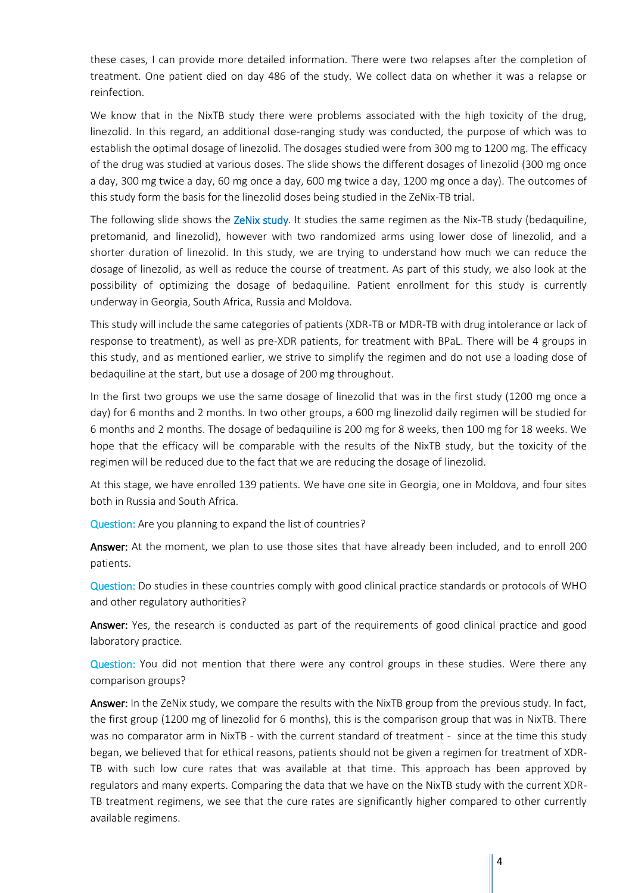these cases, I can provide more detailed information. There were two relapses after the completion of treatment. One patient died on day 486 of the study. We collect data on whether it was a relapse or reinfection.

We know that in the NixTB study there were problems associated with the high toxicity of the drug, linezolid. In this regard, an additional dose-ranging study was conducted, the purpose of which was to establish the optimal dosage of linezolid. The dosages studied were from 300 mg to 1200 mg. The efficacy of the drug was studied at various doses. The slide shows the different dosages of linezolid (300 mg once a day, 300 mg twice a day, 60 mg once a day, 600 mg twice a day, 1200 mg once a day). The outcomes of this study form the basis for the linezolid doses being studied in the ZeNix-TB trial.

The following slide shows the ZeNix study. It studies the same regimen as the Nix-TB study (bedaquiline, pretomanid, and linezolid), however with two randomized arms using lower dose of linezolid, and a shorter duration of linezolid. In this study, we are trying to understand how much we can reduce the dosage of linezolid, as well as reduce the course of treatment. As part of this study, we also look at the possibility of optimizing the dosage of bedaquiline. Patient enrollment for this study is currently underway in Georgia, South Africa, Russia and Moldova.

This study will include the same categories of patients (XDR-TB or MDR-TB with drug intolerance or lack of response to treatment), as well as pre-XDR patients, for treatment with BPaL. There will be 4 groups in this study, and as mentioned earlier, we strive to simplify the regimen and do not use a loading dose of bedaquiline at the start, but use a dosage of 200 mg throughout.

In the first two groups we use the same dosage of linezolid that was in the first study (1200 mg once a day) for 6 months and 2 months. In two other groups, a 600 mg linezolid daily regimen will be studied for 6 months and 2 months. The dosage of bedaquiline is 200 mg for 8 weeks, then 100 mg for 18 weeks. We hope that the efficacy will be comparable with the results of the NixTB study, but the toxicity of the regimen will be reduced due to the fact that we are reducing the dosage of linezolid.

At this stage, we have enrolled 139 patients. We have one site in Georgia, one in Moldova, and four sites both in Russia and South Africa.

Question: Are you planning to expand the list of countries?

Answer: At the moment, we plan to use those sites that have already been included, and to enroll 200 patients.

Question: Do studies in these countries comply with good clinical practice standards or protocols of WHO and other regulatory authorities?

Answer: Yes, the research is conducted as part of the requirements of good clinical practice and good laboratory practice.

Question: You did not mention that there were any control groups in these studies. Were there any comparison groups?

Answer: In the ZeNix study, we compare the results with the NixTB group from the previous study. In fact, the first group (1200 mg of linezolid for 6 months), this is the comparison group that was in NixTB. There was no comparator arm in NixTB - with the current standard of treatment - since at the time this study began, we believed that for ethical reasons, patients should not be given a regimen for treatment of XDR-TB with such low cure rates that was available at that time. This approach has been approved by regulators and many experts. Comparing the data that we have on the NixTB study with the current XDR-TB treatment regimens, we see that the cure rates are significantly higher compared to other currently available regimens.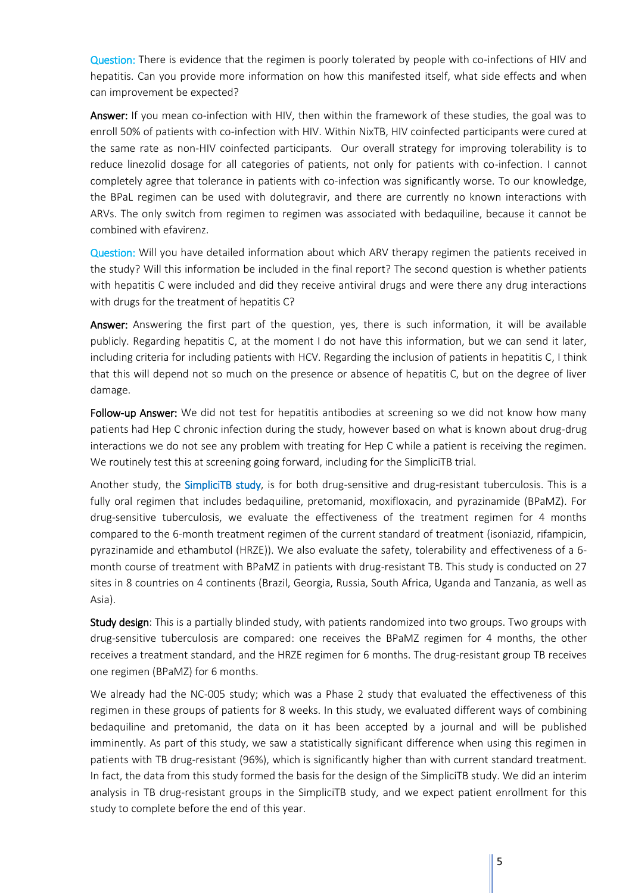Question: There is evidence that the regimen is poorly tolerated by people with co-infections of HIV and hepatitis. Can you provide more information on how this manifested itself, what side effects and when can improvement be expected?

Answer: If you mean co-infection with HIV, then within the framework of these studies, the goal was to enroll 50% of patients with co-infection with HIV. Within NixTB, HIV coinfected participants were cured at the same rate as non-HIV coinfected participants. Our overall strategy for improving tolerability is to reduce linezolid dosage for all categories of patients, not only for patients with co-infection. I cannot completely agree that tolerance in patients with co-infection was significantly worse. To our knowledge, the BPaL regimen can be used with dolutegravir, and there are currently no known interactions with ARVs. The only switch from regimen to regimen was associated with bedaquiline, because it cannot be combined with efavirenz.

Question: Will you have detailed information about which ARV therapy regimen the patients received in the study? Will this information be included in the final report? The second question is whether patients with hepatitis C were included and did they receive antiviral drugs and were there any drug interactions with drugs for the treatment of hepatitis C?

Answer: Answering the first part of the question, yes, there is such information, it will be available publicly. Regarding hepatitis C, at the moment I do not have this information, but we can send it later, including criteria for including patients with HCV. Regarding the inclusion of patients in hepatitis C, I think that this will depend not so much on the presence or absence of hepatitis C, but on the degree of liver damage.

Follow-up Answer: We did not test for hepatitis antibodies at screening so we did not know how many patients had Hep C chronic infection during the study, however based on what is known about drug-drug interactions we do not see any problem with treating for Hep C while a patient is receiving the regimen. We routinely test this at screening going forward, including for the SimpliciTB trial.

Another study, the SimpliciTB study, is for both drug-sensitive and drug-resistant tuberculosis. This is a fully oral regimen that includes bedaquiline, pretomanid, moxifloxacin, and pyrazinamide (BPaMZ). For drug-sensitive tuberculosis, we evaluate the effectiveness of the treatment regimen for 4 months compared to the 6-month treatment regimen of the current standard of treatment (isoniazid, rifampicin, pyrazinamide and ethambutol (HRZE)). We also evaluate the safety, tolerability and effectiveness of a 6 month course of treatment with BPaMZ in patients with drug-resistant TB. This study is conducted on 27 sites in 8 countries on 4 continents (Brazil, Georgia, Russia, South Africa, Uganda and Tanzania, as well as Asia).

Study design: This is a partially blinded study, with patients randomized into two groups. Two groups with drug-sensitive tuberculosis are compared: one receives the BPaMZ regimen for 4 months, the other receives a treatment standard, and the HRZE regimen for 6 months. The drug-resistant group TB receives one regimen (BPaMZ) for 6 months.

We already had the NС-005 study; which was a Phase 2 study that evaluated the effectiveness of this regimen in these groups of patients for 8 weeks. In this study, we evaluated different ways of combining bedaquiline and pretomanid, the data on it has been accepted by a journal and will be published imminently. As part of this study, we saw a statistically significant difference when using this regimen in patients with TB drug-resistant (96%), which is significantly higher than with current standard treatment. In fact, the data from this study formed the basis for the design of the SimpliciTB study. We did an interim analysis in TB drug-resistant groups in the SimpliciTB study, and we expect patient enrollment for this study to complete before the end of this year.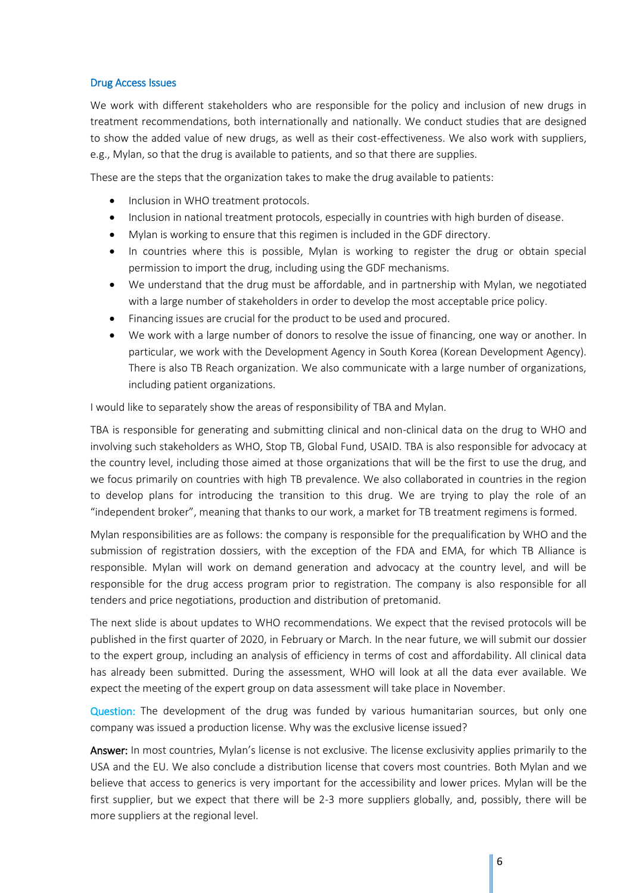#### Drug Access Issues

We work with different stakeholders who are responsible for the policy and inclusion of new drugs in treatment recommendations, both internationally and nationally. We conduct studies that are designed to show the added value of new drugs, as well as their cost-effectiveness. We also work with suppliers, e.g., Mylan, so that the drug is available to patients, and so that there are supplies.

These are the steps that the organization takes to make the drug available to patients:

- Inclusion in WHO treatment protocols.
- Inclusion in national treatment protocols, especially in countries with high burden of disease.
- Mylan is working to ensure that this regimen is included in the GDF directory.
- In countries where this is possible, Mylan is working to register the drug or obtain special permission to import the drug, including using the GDF mechanisms.
- We understand that the drug must be affordable, and in partnership with Mylan, we negotiated with a large number of stakeholders in order to develop the most acceptable price policy.
- Financing issues are crucial for the product to be used and procured.
- We work with a large number of donors to resolve the issue of financing, one way or another. In particular, we work with the Development Agency in South Korea (Korean Development Agency). There is also TB Reach organization. We also communicate with a large number of organizations, including patient organizations.

I would like to separately show the areas of responsibility of TBA and Mylan.

TBA is responsible for generating and submitting clinical and non-clinical data on the drug to WHO and involving such stakeholders as WHO, Stop TB, Global Fund, USAID. TBA is also responsible for advocacy at the country level, including those aimed at those organizations that will be the first to use the drug, and we focus primarily on countries with high TB prevalence. We also collaborated in countries in the region to develop plans for introducing the transition to this drug. We are trying to play the role of an "independent broker", meaning that thanks to our work, a market for TB treatment regimens is formed.

Mylan responsibilities are as follows: the company is responsible for the prequalification by WHO and the submission of registration dossiers, with the exception of the FDA and EMA, for which TB Alliance is responsible. Mylan will work on demand generation and advocacy at the country level, and will be responsible for the drug access program prior to registration. The company is also responsible for all tenders and price negotiations, production and distribution of pretomanid.

The next slide is about updates to WHO recommendations. We expect that the revised protocols will be published in the first quarter of 2020, in February or March. In the near future, we will submit our dossier to the expert group, including an analysis of efficiency in terms of cost and affordability. All clinical data has already been submitted. During the assessment, WHO will look at all the data ever available. We expect the meeting of the expert group on data assessment will take place in November.

Question: The development of the drug was funded by various humanitarian sources, but only one company was issued a production license. Why was the exclusive license issued?

Answer: In most countries, Mylan's license is not exclusive. The license exclusivity applies primarily to the USA and the EU. We also conclude a distribution license that covers most countries. Both Mylan and we believe that access to generics is very important for the accessibility and lower prices. Mylan will be the first supplier, but we expect that there will be 2-3 more suppliers globally, and, possibly, there will be more suppliers at the regional level.